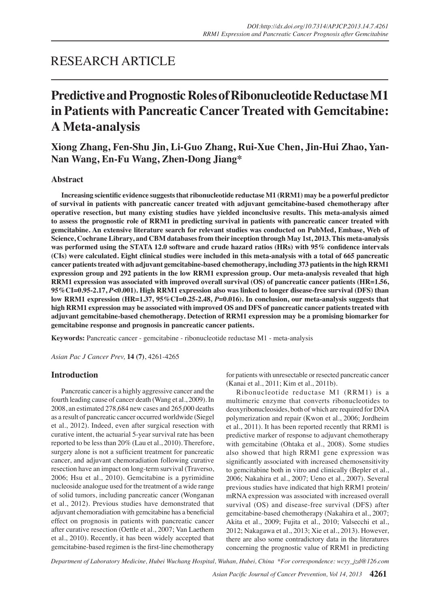## RESEARCH ARTICLE

# **Predictive and Prognostic Roles of Ribonucleotide Reductase M1 in Patients with Pancreatic CancerTreated with Gemcitabine: A Meta-analysis**

**Xiong Zhang, Fen-Shu Jin, Li-Guo Zhang, Rui-Xue Chen, Jin-Hui Zhao, Yan-Nan Wang, En-Fu Wang, Zhen-Dong Jiang\***

## **Abstract**

 **Increasing scientific evidence suggeststhat ribonucleotide reductase M1 (RRM1) may be a powerful predictor of survival in patients with pancreatic cancer treated with adjuvant gemcitabine-based chemotherapy after operative resection, but many existing studies have yielded inconclusive results. This meta-analysis aimed** to assess the prognostic role of RRM1 in predicting survival in patients with pancreatic cancer treated with **gemcitabine. An extensive literature search for relevant studies was conducted on PubMed, Embase, Web of Science, Cochrane Library, and CBM databasesfrom their inception through May 1st, 2013. This meta-analysis was performed using the STATA 12.0 software and crude hazard ratios (HRs) with 95% confidence intervals** (CIs) were calculated. Eight clinical studies were included in this meta-analysis with a total of 665 pancreatic **cancer patientstreated with adjuvant gemcitabine-based chemotherapy, including 373 patientsin the high RRM1 expression group and 292 patients in the low RRM1 expression group. Our meta-analysis revealed that high RRM1 expression was associated with improved overall survival (OS) of pancreatic cancer patients (HR=1.56, 95%CI=0.95-2.17,** *P***<0.001). High RRM1 expression also was linked to longer disease-free survival (DFS) than low RRM1 expression (HR=1.37, 95%CI=0.25-2.48,** *P***=0.016). In conclusion, our meta-analysis suggests that high RRM1 expression may be associated with improved OS and DFS of pancreatic cancer patientstreated with adjuvant gemcitabine-based chemotherapy. Detection of RRM1 expression may be a promising biomarker for gemcitabine response and prognosis in pancreatic cancer patients.**

**Keywords:** Pancreatic cancer - gemcitabine - ribonucleotide reductase M1 - meta-analysis

*Asian Pac J Cancer Prev,* **14 (7)**, 4261-4265

## **Introduction**

Pancreatic cancer is a highly aggressive cancer and the fourth leading cause of cancer death (Wang et al., 2009). In 2008, an estimated 278,684 new cases and 265,000 deaths as a result of pancreatic cancer occurred worldwide (Siegel et al., 2012). Indeed, even after surgical resection with curative intent, the actuarial 5-year survival rate has been reported to be less than 20% (Lau et al., 2010). Therefore, surgery alone is not a sufficient treatment for pancreatic cancer, and adjuvant chemoradiation following curative resection have an impact on long-term survival (Traverso, 2006; Hsu et al., 2010). Gemcitabine is a pyrimidine nucleoside analogue used for the treatment of a wide range of solid tumors, including pancreatic cancer (Wonganan et al., 2012). Previous studies have demonstrated that adjuvant chemoradiation with gemcitabine has a beneficial effect on prognosis in patients with pancreatic cancer after curative resection (Oettle et al., 2007; Van Laethem et al., 2010). Recently, it has been widely accepted that gemcitabine-based regimen is the first-line chemotherapy

for patients with unresectable or resected pancreatic cancer (Kanai et al., 2011; Kim et al., 2011b).

Ribonucleotide reductase M1 (RRM1) is a multimeric enzyme that converts ribonucleotides to deoxyribonucleosides, both of which are required for DNA polymerization and repair (Kwon et al., 2006; Jordheim et al., 2011). It has been reported recently that RRM1 is predictive marker of response to adjuvant chemotherapy with gemcitabine (Ohtaka et al., 2008). Some studies also showed that high RRM1 gene expression was significantly associated with increased chemosensitivity to gemcitabine both in vitro and clinically (Bepler et al., 2006; Nakahira et al., 2007; Ueno et al., 2007). Several previous studies have indicated that high RRM1 protein/ mRNA expression was associated with increased overall survival (OS) and disease-free survival (DFS) after gemcitabine-based chemotherapy (Nakahira et al., 2007; Akita et al., 2009; Fujita et al., 2010; Valsecchi et al., 2012; Nakagawa et al., 2013; Xie et al., 2013). However, there are also some contradictory data in the literatures concerning the prognostic value of RRM1 in predicting

*Department of Laboratory Medicine, Hubei Wuchang Hospital, Wuhan, Hubei, China \*For correspondence: wcyy\_jzd@126.com*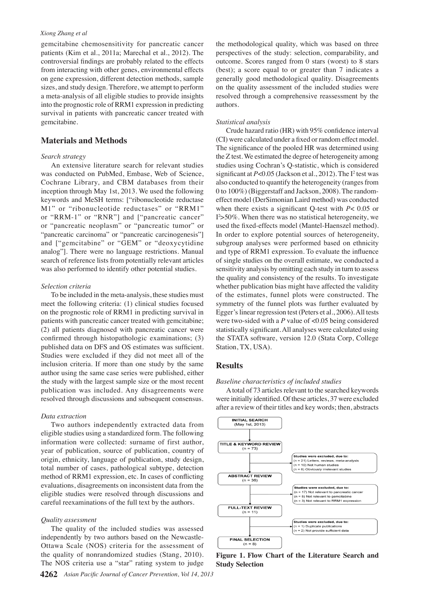#### *Xiong Zhang et al*

gemcitabine chemosensitivity for pancreatic cancer patients (Kim et al., 2011a; Marechal et al., 2012). The controversial findings are probably related to the effects from interacting with other genes, environmental effects on gene expression, different detection methods, sample sizes, and study design. Therefore, we attempt to perform a meta-analysis of all eligible studies to provide insights into the prognostic role of RRM1 expression in predicting survival in patients with pancreatic cancer treated with gemcitabine.

## **Materials and Methods**

#### *Search strategy*

An extensive literature search for relevant studies was conducted on PubMed, Embase, Web of Science, Cochrane Library, and CBM databases from their inception through May 1st, 2013. We used the following keywords and MeSH terms: ["ribonucleotide reductase M1" or "ribonucleotide reductases" or "RRM1" or "RRM-1" or "RNR"] and ["pancreatic cancer" or "pancreatic neoplasm" or "pancreatic tumor" or "pancreatic carcinoma" or "pancreatic carcinogenesis"] and ["gemcitabine" or "GEM" or "deoxycytidine analog"]. There were no language restrictions. Manual search of reference lists from potentially relevant articles was also performed to identify other potential studies.

#### *Selection criteria*

To be included in the meta-analysis, these studies must meet the following criteria: (1) clinical studies focused on the prognostic role of RRM1 in predicting survival in patients with pancreatic cancer treated with gemcitabine; (2) all patients diagnosed with pancreatic cancer were confirmed through histopathologic examinations; (3) published data on DFS and OS estimates was sufficient. Studies were excluded if they did not meet all of the inclusion criteria. If more than one study by the same author using the same case series were published, either the study with the largest sample size or the most recent publication was included. Any disagreements were resolved through discussions and subsequent consensus.

#### *Data extraction*

Two authors independently extracted data from eligible studies using a standardized form. The following information were collected: surname of first author, year of publication, source of publication, country of origin, ethnicity, language of publication, study design, total number of cases, pathological subtype, detection method of RRM1 expression, etc. In cases of conflicting evaluations, disagreements on inconsistent data from the eligible studies were resolved through discussions and careful reexaminations of the full text by the authors.

#### *Quality assessment*

The quality of the included studies was assessed independently by two authors based on the Newcastle-Ottawa Scale (NOS) criteria for the assessment of the quality of nonrandomized studies (Stang, 2010). The NOS criteria use a "star" rating system to judge

the methodological quality, which was based on three perspectives of the study: selection, comparability, and outcome. Scores ranged from 0 stars (worst) to 8 stars (best); a score equal to or greater than 7 indicates a generally good methodological quality. Disagreements on the quality assessment of the included studies were resolved through a comprehensive reassessment by the authors.

#### *Statistical analysis*

Crude hazard ratio (HR) with 95% confidence interval (CI) were calculated under a fixed or random effect model. The significance of the pooled HR was determined using the Z test. We estimated the degree of heterogeneity among studies using Cochran's Q-statistic, which is considered significant at  $P<0.05$  (Jackson et al., 2012). The  $I<sup>2</sup>$  test was also conducted to quantify the heterogeneity (ranges from 0 to 100%) (Biggerstaff and Jackson, 2008). The randomeffect model (DerSimonian Laird method) was conducted when there exists a significant Q-test with *P*< 0.05 or I2 >50%. When there was no statistical heterogeneity, we used the fixed-effects model (Mantel-Haenszel method). In order to explore potential sources of heterogeneity, subgroup analyses were performed based on ethnicity and type of RRM1 expression. To evaluate the influence of single studies on the overall estimate, we conducted a sensitivity analysis by omitting each study in turn to assess the quality and consistency of the results. To investigate whether publication bias might have affected the validity of the estimates, funnel plots were constructed. The symmetry of the funnel plots was further evaluated by Egger's linear regression test (Peters et al., 2006). All tests were two-sided with a *P* value of <0.05 being considered statistically significant. All analyses were calculated using the STATA software, version 12.0 (Stata Corp, College Station, TX, USA).

## **Results**

#### *Baseline characteristics of included studies*

A total of 73 articles relevant to the searched keywords were initially identified. Of these articles, 37 were excluded after a review of their titles and key words; then, abstracts



**Figure 1. Flow Chart of the Literature Search and Study Selection**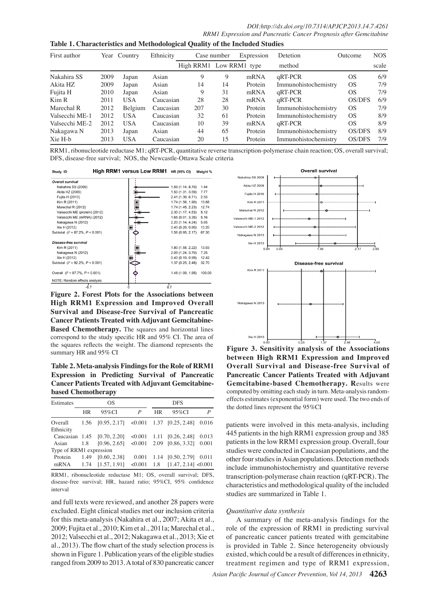**Table 1. Characteristics and Methodological Quality of the Included Studies**

| First author   |      | Year Country | Ethnicity | Case number             |    | Expression | Detetion             | Outcome   | <b>NOS</b> |
|----------------|------|--------------|-----------|-------------------------|----|------------|----------------------|-----------|------------|
|                |      |              |           | High RRM1 Low RRM1 type |    |            | method               |           | scale      |
| Nakahira SS    | 2009 | Japan        | Asian     | 9                       | 9  | mRNA       | qRT-PCR              | <b>OS</b> | 6/9        |
| Akita HZ       | 2009 | Japan        | Asian     | 14                      | 14 | Protein    | Immunohistochemistry | <b>OS</b> | 7/9        |
| Fujita H       | 2010 | Japan        | Asian     | 9                       | 31 | mRNA       | qRT-PCR              | <b>OS</b> | 7/9        |
| Kim R          | 2011 | <b>USA</b>   | Caucasian | 28                      | 28 | mRNA       | qRT-PCR              | OS/DFS    | 6/9        |
| Marechal R     | 2012 | Belgium      | Caucasian | 207                     | 30 | Protein    | Immunohistochemistry | <b>OS</b> | 7/9        |
| Valsecchi ME-1 | 2012 | <b>USA</b>   | Caucasian | 32                      | 61 | Protein    | Immunohistochemistry | <b>OS</b> | 8/9        |
| Valsecchi ME-2 | 2012 | <b>USA</b>   | Caucasian | 10                      | 39 | mRNA       | qRT-PCR              | <b>OS</b> | 8/9        |
| Nakagawa N     | 2013 | Japan        | Asian     | 44                      | 65 | Protein    | Immunohistochemistry | OS/DFS    | 8/9100.0   |
| Xie H-b        | 2013 | <b>USA</b>   | Caucasian | 20                      | 15 | Protein    | Immunohistochemistry | OS/DFS    | 7/9        |

RRM1, ribonucleotide reductase M1; qRT-PCR, quantitative reverse transcription-polymerase chain reaction; OS, overall survival; DFS, disease-free survival; NOS, the Newcastle-Ottawa Scale criteria

| Study ID                             | HIGH RRM I VERSUS LOW RRM I HR (95% CI) |                   | Weight % |
|--------------------------------------|-----------------------------------------|-------------------|----------|
| <b>Overall survival</b>              |                                         |                   |          |
| Nakahira SS (2009)                   |                                         | 1.59 (1.14, 8.70) | 1.44     |
| Akita HZ (2009)                      |                                         | 1.50 (1.31, 3.59) | 7.77     |
| Fujita H (2010)                      |                                         | 2.41 (1.30, 6.71) | 2.55     |
| Kim R (2011)                         |                                         | 1.74 (1.56, 1.90) | 13.68    |
| Marechal R (2012)                    |                                         | 1.74 (1.45, 2.23) | 12.74    |
| Valsecchi ME (protein) (2012)        |                                         | 2.30 (1.17, 4.53) | 5.12     |
| Valsecchi ME (mRNA) (2012)           |                                         | 1.65(0.01, 3.35)  | 5.16     |
| Nakagawa N (2012)                    |                                         | 2.20 (1.14, 4.24) | 5.65     |
| Xie H (2012)                         |                                         | 0.40(0.20, 0.80)  | 13.20    |
| Subtotal $(l^2 = 87.2\%, P < 0.001)$ |                                         | 1.56 (0.95, 2.17) | 67.30    |
| Disease-free survival                |                                         |                   |          |
| Kim R (2011)                         |                                         | 1.80 (1.55, 2.22) | 13.03    |
| Nakagawa N (2012)                    |                                         | 2.09 (1.24, 3.70) | 7.25     |
| Xie H (2012)                         |                                         | 0.40(0.10, 0.99)  | 12.42    |
| Subtotal $(P = 92.2\%, P < 0.001)$   |                                         | 1.37 (0.25, 2.48) | 32.70    |
| Overall $(P = 87.7\% , P < 0.001)$   |                                         | 1.48 (1.00, 1.95) | 100.00   |
| NOTE: Random effects analysis        |                                         |                   |          |
|                                      | 07                                      | 07                |          |

 $\cdots$   $\cdots$ 

**Figure 2. Forest Plots for the Associations between High RRM1 Expression and Improved Overall Survival and Disease-free Survival of Pancreatic Cancer Patients Treated with Adjuvant Gemcitabine-Based Chemotherapy.** The squares and horizontal lines correspond to the study specific HR and 95% CI. The area of the squares reflects the weight. The diamond represents the summary HR and 95% CI **Figure 3. Sensitivity analysis of the Associations**

**Table 2. Meta-analysis Findingsfor the Role of RRM1 Expression in Predicting Survival of Pancreatic Cancer Patients Treated with Adjuvant Gemcitabinebased Chemotherapy**

| Estimates               | OS        |                                                          |                  |           | <b>DFS</b>                                 |   |  |  |
|-------------------------|-----------|----------------------------------------------------------|------------------|-----------|--------------------------------------------|---|--|--|
|                         | <b>HR</b> | 95%CI                                                    | $\boldsymbol{P}$ | <b>HR</b> | $95\%$ CI                                  | P |  |  |
|                         |           | Overall 1.56 [0.95, 2.17] <0.001 1.37 [0.25, 2.48] 0.016 |                  |           |                                            |   |  |  |
| Ethnicity               |           |                                                          |                  |           |                                            |   |  |  |
|                         |           | Caucasian 1.45 [0.70, 2.20]                              |                  |           | $\leq 0.001$ 1.11 [0.26, 2.48] 0.013       |   |  |  |
|                         |           | Asian 1.8 [0.96, 2.65] < 0.001 2.09 [0.86, 3.32] 0.001   |                  |           |                                            |   |  |  |
| Type of RRM1 expression |           |                                                          |                  |           |                                            |   |  |  |
|                         |           | Protein 1.49 [0.60, 2.38]                                |                  |           | $0.001$ 1.14 $[0.50, 2.79]$ 0.011          |   |  |  |
|                         |           | mRNA 1.74 [1.57, 1.91]                                   |                  |           | $\leq 0.001$ 1.8 $[1.47, 2.14] \leq 0.001$ |   |  |  |

RRM1, ribonucleotide reductase M1; OS, overall survival; DFS, disease-free survival; HR, hazard ratio; 95%CI, 95% confidence interval

and full texts were reviewed, and another 28 papers were excluded. Eight clinical studies met our inclusion criteria for this meta-analysis (Nakahira et al., 2007; Akita et al., 2009; Fujita et al., 2010; Kim et al., 2011a; Marechal et al., 2012; Valsecchi et al., 2012; Nakagawa et al., 2013; Xie et al., 2013). The flow chart of the study selection process is shown in Figure 1. Publication years of the eligible studies ranged from 2009 to 2013. A total of 830 pancreatic cancer



**between High RRM1 Expression and Improved Overall Survival and Disease-free Survival of Pancreatic Cancer Patients Treated with Adjuvant Gemcitabine-based Chemotherapy. R**esults were computed by omitting each study in turn. Meta-analysis randomeffects estimates (exponential form) were used. The two ends of the dotted lines represent the 95%CI

patients were involved in this meta-analysis, including 445 patients in the high RRM1 expression group and 385 patients in the low RRM1 expression group. Overall, four studies were conducted in Caucasian populations, and the other four studies in Asian populations. Detection methods include immunohistochemistry and quantitative reverse transcription-polymerase chain reaction (qRT-PCR). The characteristics and methodological quality of the included studies are summarized in Table 1.

## *Quantitative data synthesis*

A summary of the meta-analysis findings for the role of the expression of RRM1 in predicting survival of pancreatic cancer patients treated with gemcitabine is provided in Table 2. Since heterogeneity obviously existed, which could be a result of differences in ethnicity, treatment regimen and type of RRM1 expression,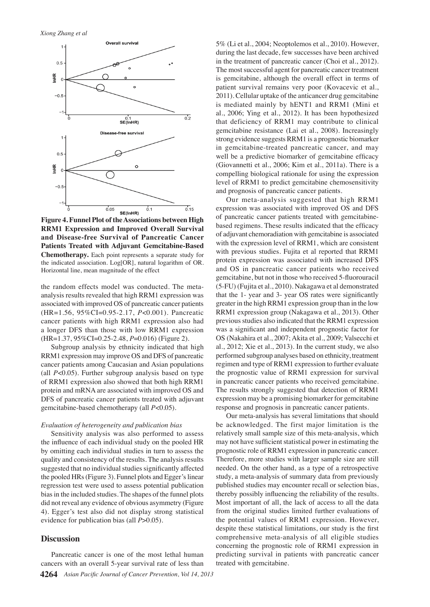

**Figure 4. Funnel Plot of theAssociations between High RRM1 Expression and Improved Overall Survival and Disease-free Survival of Pancreatic Cancer Patients Treated with Adjuvant Gemcitabine-Based Chemotherapy.** Each point represents a separate study for the indicated association. Log[OR], natural logarithm of OR. Horizontal line, mean magnitude of the effect

the random effects model was conducted. The metaanalysis results revealed that high RRM1 expression was associated with improved OS of pancreatic cancer patients (HR=1.56, 95%CI=0.95-2.17, *P*<0.001). Pancreatic cancer patients with high RRM1 expression also had a longer DFS than those with low RRM1 expression (HR=1.37, 95%CI=0.25-2.48, *P*=0.016) (Figure 2).

Subgroup analysis by ethnicity indicated that high RRM1 expression may improve OS and DFS of pancreatic cancer patients among Caucasian and Asian populations (all *P*<0.05). Further subgroup analysis based on type of RRM1 expression also showed that both high RRM1 protein and mRNA are associated with improved OS and DFS of pancreatic cancer patients treated with adjuvant gemcitabine-based chemotherapy (all *P*<0.05).

#### *Evaluation of heterogeneity and publication bias*

Sensitivity analysis was also performed to assess the influence of each individual study on the pooled HR by omitting each individual studies in turn to assess the quality and consistency of the results. The analysis results suggested that no individual studies significantly affected the pooled HRs (Figure 3). Funnel plots and Egger's linear regression test were used to assess potential publication bias in the included studies. The shapes of the funnel plots did not reveal any evidence of obvious asymmetry (Figure 4). Egger's test also did not display strong statistical evidence for publication bias (all *P*>0.05).

#### **Discussion**

5% (Li et al., 2004; Neoptolemos et al., 2010). However, during the last decade, few successes have been archived in the treatment of pancreatic cancer (Choi et al., 2012). The most successful agent for pancreatic cancer treatment is gemcitabine, although the overall effect in terms of patient survival remains very poor (Kovacevic et al., 2011). Cellular uptake of the anticancer drug gemcitabine is mediated mainly by hENT1 and RRM1 (Mini et al., 2006; Ying et al., 2012). It has been hypothesized that deficiency of RRM1 may contribute to clinical gemcitabine resistance (Lai et al., 2008). Increasingly strong evidence suggests RRM1 is a prognostic biomarker in gemcitabine-treated pancreatic cancer, and may well be a predictive biomarker of gemcitabine efficacy (Giovannetti et al., 2006; Kim et al., 2011a). There is a compelling biological rationale for using the expression level of RRM1 to predict gemcitabine chemosensitivity and prognosis of pancreatic cancer patients.

Our meta-analysis suggested that high RRM1 expression was associated with improved OS and DFS of pancreatic cancer patients treated with gemcitabinebased regimens. These results indicated that the efficacy of adjuvant chemoradiation with gemcitabine is associated with the expression level of RRM1, which are consistent with previous studies. Fujita et al reported that RRM1 protein expression was associated with increased DFS and OS in pancreatic cancer patients who received gemcitabine, but not in those who received 5-fluorouracil (5-FU) (Fujita et al., 2010). Nakagawa et al demonstrated that the 1- year and 3- year OS rates were significantly greater in the high RRM1 expression group than in the low RRM1 expression group (Nakagawa et al., 2013). Other previous studies also indicated that the RRM1 expression was a significant and independent prognostic factor for OS (Nakahira et al., 2007; Akita et al., 2009; Valsecchi et al., 2012; Xie et al., 2013). In the current study, we also performed subgroup analyses based on ethnicity, treatment regimen and type of RRM1 expression to further evaluate the prognostic value of RRM1 expression for survival in pancreatic cancer patients who received gemcitabine. The results strongly suggested that detection of RRM1 expression may be a promising biomarker for gemcitabine response and prognosis in pancreatic cancer patients.

Our meta-analysis has several limitations that should be acknowledged. The first major limitation is the relatively small sample size of this meta-analysis, which may not have sufficient statistical power in estimating the prognostic role of RRM1 expression in pancreatic cancer. Therefore, more studies with larger sample size are still needed. On the other hand, as a type of a retrospective study, a meta-analysis of summary data from previously published studies may encounter recall or selection bias, thereby possibly influencing the reliability of the results. Most important of all, the lack of access to all the data from the original studies limited further evaluations of the potential values of RRM1 expression. However, despite these statistical limitations, our study is the first comprehensive meta-analysis of all eligible studies concerning the prognostic role of RRM1 expression in predicting survival in patients with pancreatic cancer treated with gemcitabine.